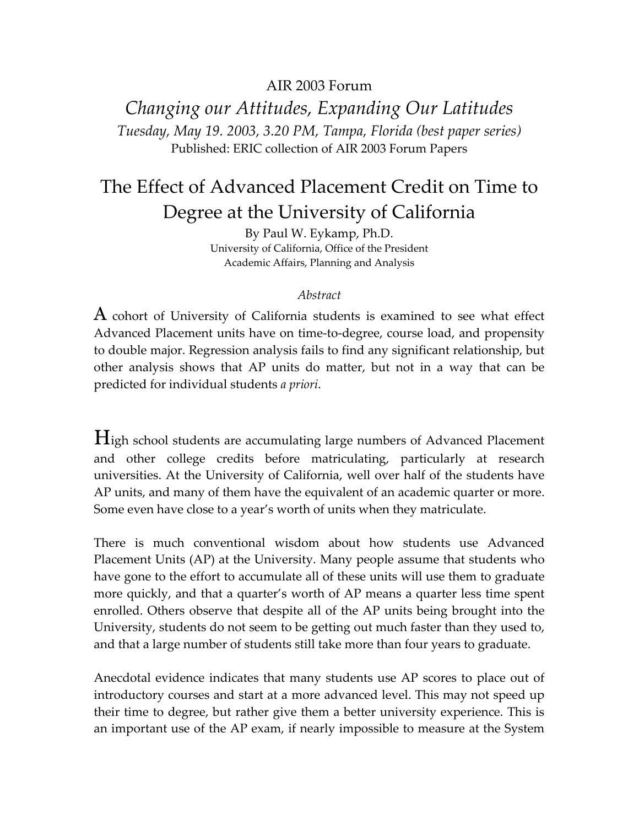### AIR 2003 Forum

*Changing our Attitudes, Expanding Our Latitudes Tuesday, May 19. 2003, 3.20 PM, Tampa, Florida (best paper series)*  Published: ERIC collection of AIR 2003 Forum Papers

# The Effect of Advanced Placement Credit on Time to Degree at the University of California

By Paul W. Eykamp, Ph.D. University of California, Office of the President Academic Affairs, Planning and Analysis

#### *Abstract*

 $A$  cohort of University of California students is examined to see what effect Advanced Placement units have on time-to-degree, course load, and propensity to double major. Regression analysis fails to find any significant relationship, but other analysis shows that AP units do matter, but not in a way that can be predicted for individual students *a priori*.

High school students are accumulating large numbers of Advanced Placement and other college credits before matriculating, particularly at research universities. At the University of California, well over half of the students have AP units, and many of them have the equivalent of an academic quarter or more. Some even have close to a year's worth of units when they matriculate.

There is much conventional wisdom about how students use Advanced Placement Units (AP) at the University. Many people assume that students who have gone to the effort to accumulate all of these units will use them to graduate more quickly, and that a quarter's worth of AP means a quarter less time spent enrolled. Others observe that despite all of the AP units being brought into the University, students do not seem to be getting out much faster than they used to, and that a large number of students still take more than four years to graduate.

Anecdotal evidence indicates that many students use AP scores to place out of introductory courses and start at a more advanced level. This may not speed up their time to degree, but rather give them a better university experience. This is an important use of the AP exam, if nearly impossible to measure at the System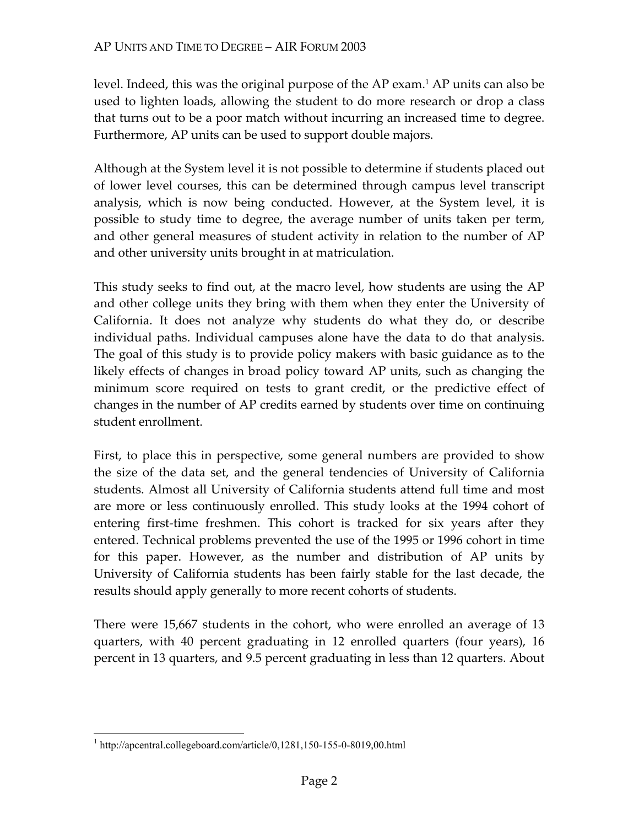level. Indeed, this was the original purpose of the AP exam.1 AP units can also be used to lighten loads, allowing the student to do more research or drop a class that turns out to be a poor match without incurring an increased time to degree. Furthermore, AP units can be used to support double majors.

Although at the System level it is not possible to determine if students placed out of lower level courses, this can be determined through campus level transcript analysis, which is now being conducted. However, at the System level, it is possible to study time to degree, the average number of units taken per term, and other general measures of student activity in relation to the number of AP and other university units brought in at matriculation.

This study seeks to find out, at the macro level, how students are using the AP and other college units they bring with them when they enter the University of California. It does not analyze why students do what they do, or describe individual paths. Individual campuses alone have the data to do that analysis. The goal of this study is to provide policy makers with basic guidance as to the likely effects of changes in broad policy toward AP units, such as changing the minimum score required on tests to grant credit, or the predictive effect of changes in the number of AP credits earned by students over time on continuing student enrollment.

First, to place this in perspective, some general numbers are provided to show the size of the data set, and the general tendencies of University of California students. Almost all University of California students attend full time and most are more or less continuously enrolled. This study looks at the 1994 cohort of entering first-time freshmen. This cohort is tracked for six years after they entered. Technical problems prevented the use of the 1995 or 1996 cohort in time for this paper. However, as the number and distribution of AP units by University of California students has been fairly stable for the last decade, the results should apply generally to more recent cohorts of students.

There were 15,667 students in the cohort, who were enrolled an average of 13 quarters, with 40 percent graduating in 12 enrolled quarters (four years), 16 percent in 13 quarters, and 9.5 percent graduating in less than 12 quarters. About

 $\overline{a}$ 

<sup>&</sup>lt;sup>1</sup> http://apcentral.collegeboard.com/article/0,1281,150-155-0-8019,00.html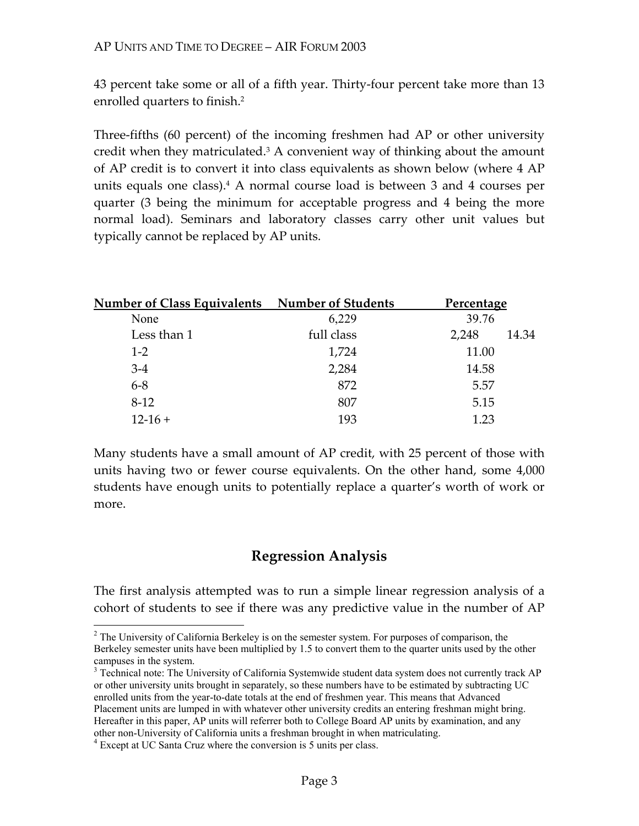43 percent take some or all of a fifth year. Thirty-four percent take more than 13 enrolled quarters to finish.<sup>2</sup>

Three-fifths (60 percent) of the incoming freshmen had AP or other university credit when they matriculated.<sup>3</sup> A convenient way of thinking about the amount of AP credit is to convert it into class equivalents as shown below (where 4 AP units equals one class).4 A normal course load is between 3 and 4 courses per quarter (3 being the minimum for acceptable progress and 4 being the more normal load). Seminars and laboratory classes carry other unit values but typically cannot be replaced by AP units.

| Number of Class Equivalents Number of Students |            | <b>Percentage</b> |       |
|------------------------------------------------|------------|-------------------|-------|
| None                                           | 6,229      | 39.76             |       |
| Less than 1                                    | full class | 2,248             | 14.34 |
| $1 - 2$                                        | 1,724      | 11.00             |       |
| $3-4$                                          | 2,284      | 14.58             |       |
| $6 - 8$                                        | 872        | 5.57              |       |
| $8-12$                                         | 807        | 5.15              |       |
| $12-16+$                                       | 193        | 1.23              |       |

Many students have a small amount of AP credit, with 25 percent of those with units having two or fewer course equivalents. On the other hand, some 4,000 students have enough units to potentially replace a quarter's worth of work or more.

## **Regression Analysis**

The first analysis attempted was to run a simple linear regression analysis of a cohort of students to see if there was any predictive value in the number of AP

 $\overline{a}$ 

 $2^2$  The University of California Berkeley is on the semester system. For purposes of comparison, the Berkeley semester units have been multiplied by 1.5 to convert them to the quarter units used by the other campuses in the system.

<sup>&</sup>lt;sup>3</sup> Technical note: The University of California Systemwide student data system does not currently track AP or other university units brought in separately, so these numbers have to be estimated by subtracting UC enrolled units from the year-to-date totals at the end of freshmen year. This means that Advanced Placement units are lumped in with whatever other university credits an entering freshman might bring. Hereafter in this paper, AP units will referrer both to College Board AP units by examination, and any other non-University of California units a freshman brought in when matriculating.

<sup>4</sup> Except at UC Santa Cruz where the conversion is 5 units per class.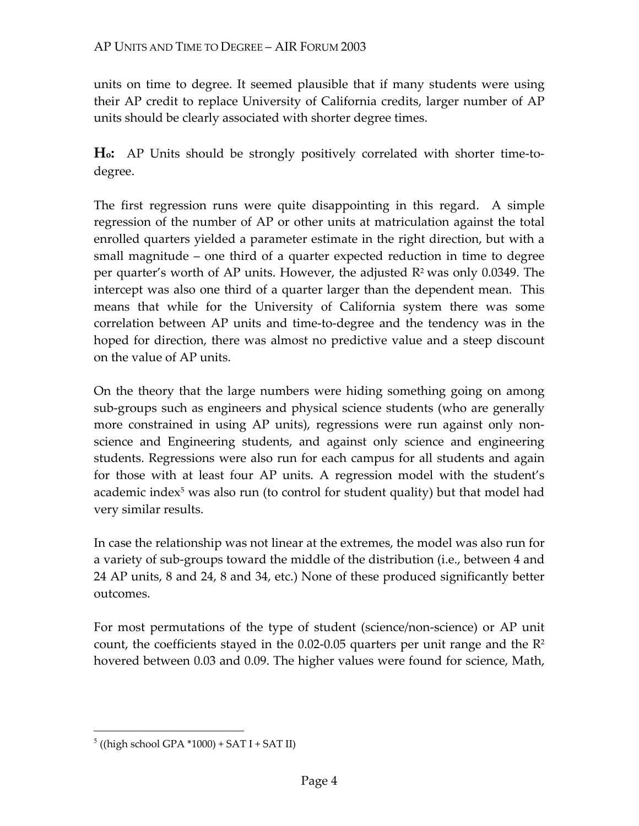units on time to degree. It seemed plausible that if many students were using their AP credit to replace University of California credits, larger number of AP units should be clearly associated with shorter degree times.

**Ho:** AP Units should be strongly positively correlated with shorter time-todegree.

The first regression runs were quite disappointing in this regard. A simple regression of the number of AP or other units at matriculation against the total enrolled quarters yielded a parameter estimate in the right direction, but with a small magnitude – one third of a quarter expected reduction in time to degree per quarter's worth of AP units. However, the adjusted  $\mathbb{R}^2$  was only 0.0349. The intercept was also one third of a quarter larger than the dependent mean. This means that while for the University of California system there was some correlation between AP units and time-to-degree and the tendency was in the hoped for direction, there was almost no predictive value and a steep discount on the value of AP units.

On the theory that the large numbers were hiding something going on among sub-groups such as engineers and physical science students (who are generally more constrained in using AP units), regressions were run against only nonscience and Engineering students, and against only science and engineering students. Regressions were also run for each campus for all students and again for those with at least four AP units. A regression model with the student's academic index<sup>5</sup> was also run (to control for student quality) but that model had very similar results.

In case the relationship was not linear at the extremes, the model was also run for a variety of sub-groups toward the middle of the distribution (i.e., between 4 and 24 AP units, 8 and 24, 8 and 34, etc.) None of these produced significantly better outcomes.

For most permutations of the type of student (science/non-science) or AP unit count, the coefficients stayed in the 0.02-0.05 quarters per unit range and the  $\mathbb{R}^2$ hovered between 0.03 and 0.09. The higher values were found for science, Math,

1

 $5$  ((high school GPA \*1000) + SAT I + SAT II)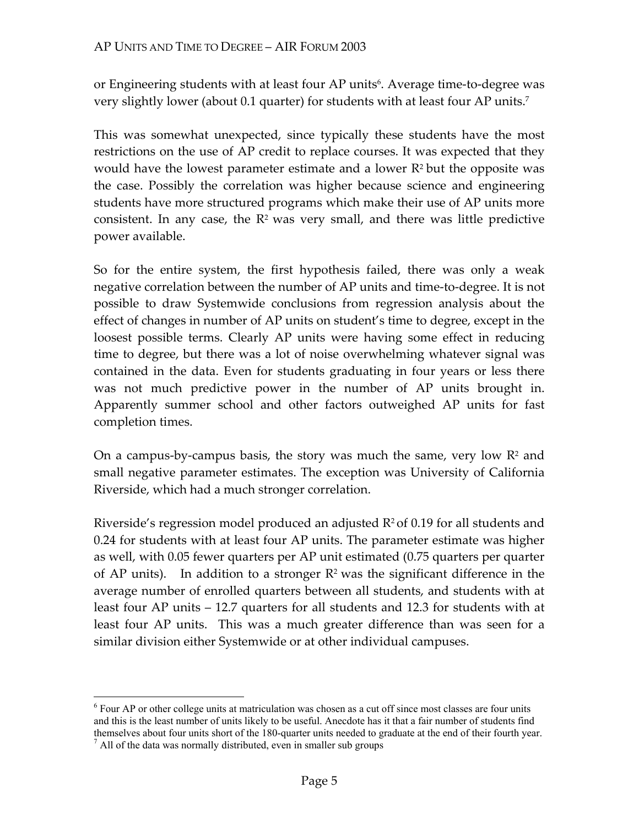or Engineering students with at least four AP units<sup>6</sup>. Average time-to-degree was very slightly lower (about 0.1 quarter) for students with at least four AP units.7

This was somewhat unexpected, since typically these students have the most restrictions on the use of AP credit to replace courses. It was expected that they would have the lowest parameter estimate and a lower  $R<sup>2</sup>$  but the opposite was the case. Possibly the correlation was higher because science and engineering students have more structured programs which make their use of AP units more consistent. In any case, the  $\mathbb{R}^2$  was very small, and there was little predictive power available.

So for the entire system, the first hypothesis failed, there was only a weak negative correlation between the number of AP units and time-to-degree. It is not possible to draw Systemwide conclusions from regression analysis about the effect of changes in number of AP units on student's time to degree, except in the loosest possible terms. Clearly AP units were having some effect in reducing time to degree, but there was a lot of noise overwhelming whatever signal was contained in the data. Even for students graduating in four years or less there was not much predictive power in the number of AP units brought in. Apparently summer school and other factors outweighed AP units for fast completion times.

On a campus-by-campus basis, the story was much the same, very low  $\mathbb{R}^2$  and small negative parameter estimates. The exception was University of California Riverside, which had a much stronger correlation.

Riverside's regression model produced an adjusted  $R^2$  of 0.19 for all students and 0.24 for students with at least four AP units. The parameter estimate was higher as well, with 0.05 fewer quarters per AP unit estimated (0.75 quarters per quarter of AP units). In addition to a stronger  $\mathbb{R}^2$  was the significant difference in the average number of enrolled quarters between all students, and students with at least four AP units – 12.7 quarters for all students and 12.3 for students with at least four AP units. This was a much greater difference than was seen for a similar division either Systemwide or at other individual campuses.

<u>.</u>

<sup>&</sup>lt;sup>6</sup> Four AP or other college units at matriculation was chosen as a cut off since most classes are four units and this is the least number of units likely to be useful. Anecdote has it that a fair number of students find themselves about four units short of the 180-quarter units needed to graduate at the end of their fourth year. 7

 $\frac{7}{1}$  All of the data was normally distributed, even in smaller sub groups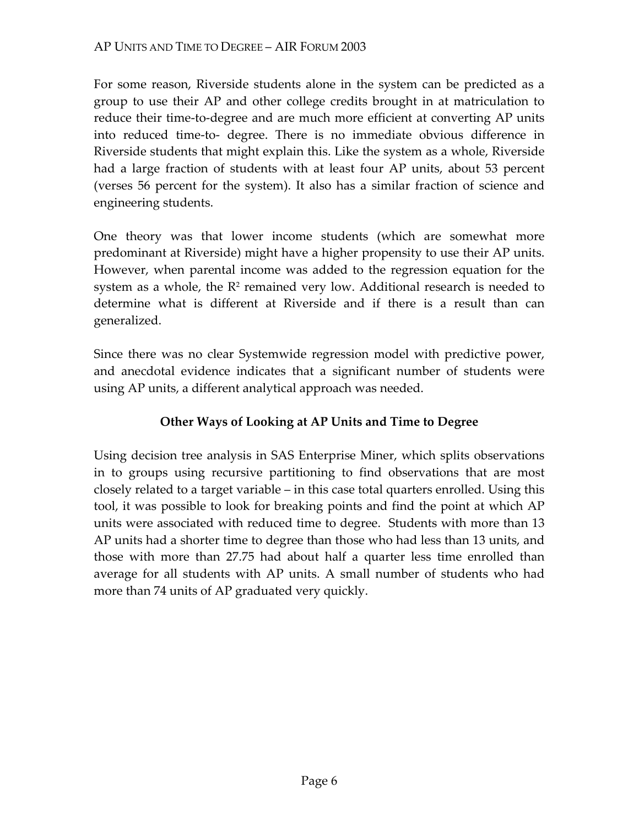For some reason, Riverside students alone in the system can be predicted as a group to use their AP and other college credits brought in at matriculation to reduce their time-to-degree and are much more efficient at converting AP units into reduced time-to- degree. There is no immediate obvious difference in Riverside students that might explain this. Like the system as a whole, Riverside had a large fraction of students with at least four AP units, about 53 percent (verses 56 percent for the system). It also has a similar fraction of science and engineering students.

One theory was that lower income students (which are somewhat more predominant at Riverside) might have a higher propensity to use their AP units. However, when parental income was added to the regression equation for the system as a whole, the  $R<sup>2</sup>$  remained very low. Additional research is needed to determine what is different at Riverside and if there is a result than can generalized.

Since there was no clear Systemwide regression model with predictive power, and anecdotal evidence indicates that a significant number of students were using AP units, a different analytical approach was needed.

### **Other Ways of Looking at AP Units and Time to Degree**

Using decision tree analysis in SAS Enterprise Miner, which splits observations in to groups using recursive partitioning to find observations that are most closely related to a target variable – in this case total quarters enrolled. Using this tool, it was possible to look for breaking points and find the point at which AP units were associated with reduced time to degree. Students with more than 13 AP units had a shorter time to degree than those who had less than 13 units, and those with more than 27.75 had about half a quarter less time enrolled than average for all students with AP units. A small number of students who had more than 74 units of AP graduated very quickly.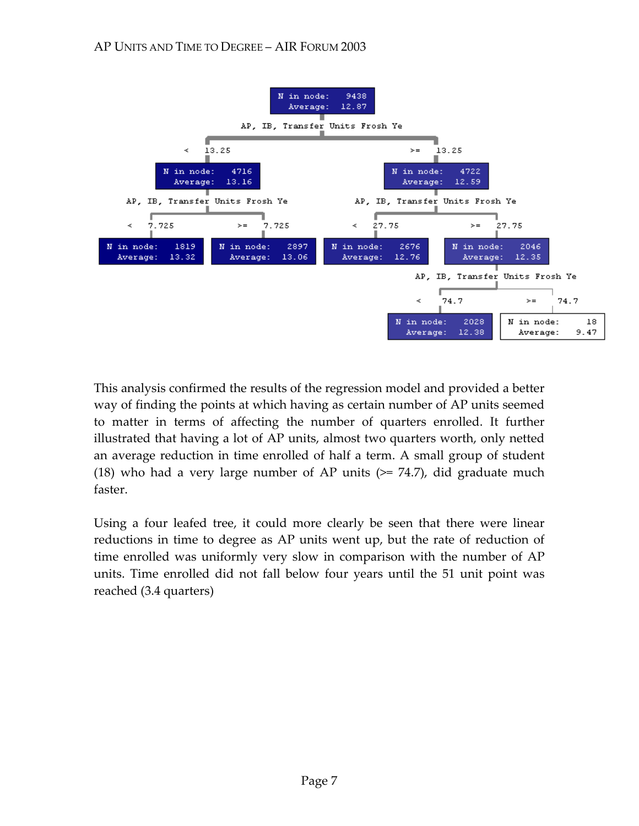

This analysis confirmed the results of the regression model and provided a better way of finding the points at which having as certain number of AP units seemed to matter in terms of affecting the number of quarters enrolled. It further illustrated that having a lot of AP units, almost two quarters worth, only netted an average reduction in time enrolled of half a term. A small group of student (18) who had a very large number of AP units  $(>= 74.7)$ , did graduate much faster.

Using a four leafed tree, it could more clearly be seen that there were linear reductions in time to degree as AP units went up, but the rate of reduction of time enrolled was uniformly very slow in comparison with the number of AP units. Time enrolled did not fall below four years until the 51 unit point was reached (3.4 quarters)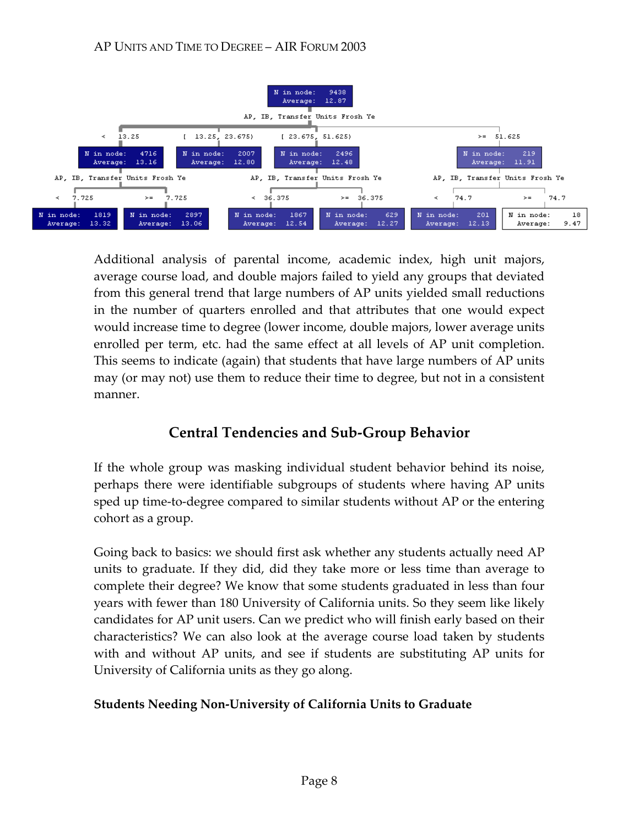

Additional analysis of parental income, academic index, high unit majors, average course load, and double majors failed to yield any groups that deviated from this general trend that large numbers of AP units yielded small reductions in the number of quarters enrolled and that attributes that one would expect would increase time to degree (lower income, double majors, lower average units enrolled per term, etc. had the same effect at all levels of AP unit completion. This seems to indicate (again) that students that have large numbers of AP units may (or may not) use them to reduce their time to degree, but not in a consistent manner.

# **Central Tendencies and Sub-Group Behavior**

If the whole group was masking individual student behavior behind its noise, perhaps there were identifiable subgroups of students where having AP units sped up time-to-degree compared to similar students without AP or the entering cohort as a group.

Going back to basics: we should first ask whether any students actually need AP units to graduate. If they did, did they take more or less time than average to complete their degree? We know that some students graduated in less than four years with fewer than 180 University of California units. So they seem like likely candidates for AP unit users. Can we predict who will finish early based on their characteristics? We can also look at the average course load taken by students with and without AP units, and see if students are substituting AP units for University of California units as they go along.

### **Students Needing Non-University of California Units to Graduate**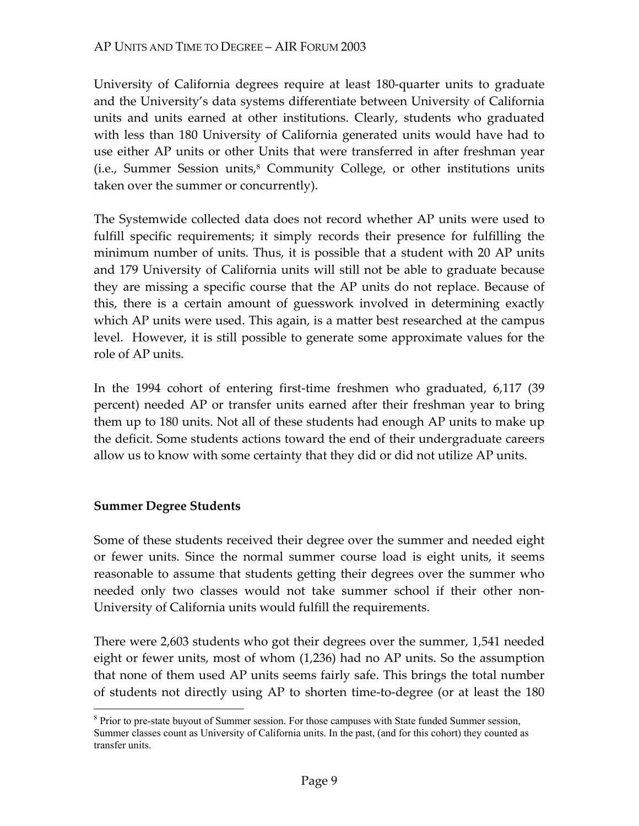University of California degrees require at least 180-quarter units to graduate and the University's data systems differentiate between University of California units and units earned at other institutions. Clearly, students who graduated with less than 180 University of California generated units would have had to use either AP units or other Units that were transferred in after freshman year  $(i.e.,$  Summer Session units, $8$  Community College, or other institutions units taken over the summer or concurrently).

The Systemwide collected data does not record whether AP units were used to fulfill specific requirements; it simply records their presence for fulfilling the minimum number of units. Thus, it is possible that a student with 20 AP units and 179 University of California units will still not be able to graduate because they are missing a specific course that the AP units do not replace. Because of this, there is a certain amount of guesswork involved in determining exactly which AP units were used. This again, is a matter best researched at the campus level. However, it is still possible to generate some approximate values for the role of AP units.

In the 1994 cohort of entering first-time freshmen who graduated, 6,117 (39 percent) needed AP or transfer units earned after their freshman year to bring them up to 180 units. Not all of these students had enough AP units to make up the deficit. Some students actions toward the end of their undergraduate careers allow us to know with some certainty that they did or did not utilize AP units.

### **Summer Degree Students**

Some of these students received their degree over the summer and needed eight or fewer units. Since the normal summer course load is eight units, it seems reasonable to assume that students getting their degrees over the summer who needed only two classes would not take summer school if their other non-University of California units would fulfill the requirements.

There were 2,603 students who got their degrees over the summer, 1,541 needed eight or fewer units, most of whom (1,236) had no AP units. So the assumption that none of them used AP units seems fairly safe. This brings the total number of students not directly using AP to shorten time-to-degree (or at least the 180

 $\overline{a}$ <sup>8</sup> Prior to pre-state buyout of Summer session. For those campuses with State funded Summer session, Summer classes count as University of California units. In the past, (and for this cohort) they counted as transfer units.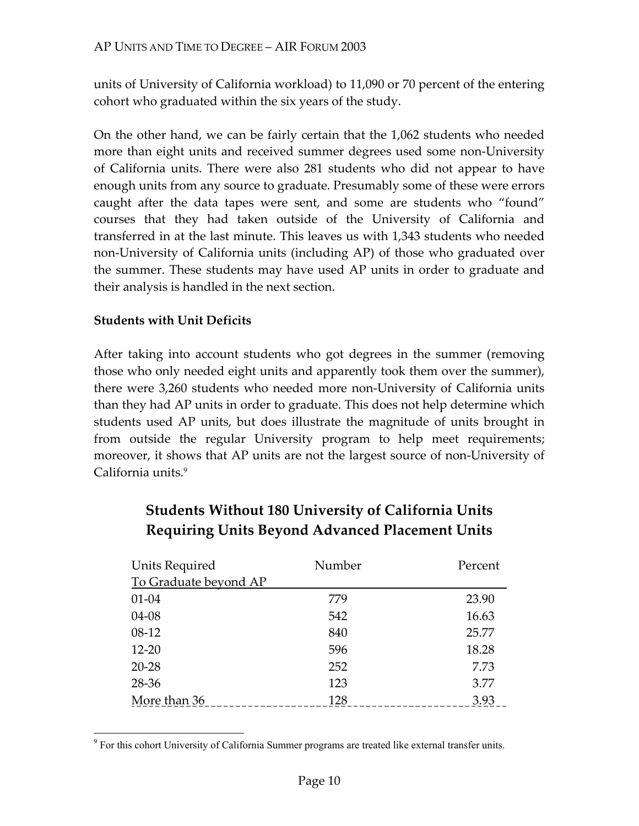units of University of California workload) to 11,090 or 70 percent of the entering cohort who graduated within the six years of the study.

On the other hand, we can be fairly certain that the 1,062 students who needed more than eight units and received summer degrees used some non-University of California units. There were also 281 students who did not appear to have enough units from any source to graduate. Presumably some of these were errors caught after the data tapes were sent, and some are students who "found" courses that they had taken outside of the University of California and transferred in at the last minute. This leaves us with 1,343 students who needed non-University of California units (including AP) of those who graduated over the summer. These students may have used AP units in order to graduate and their analysis is handled in the next section.

#### **Students with Unit Deficits**

 $\overline{a}$ 

After taking into account students who got degrees in the summer (removing those who only needed eight units and apparently took them over the summer), there were 3,260 students who needed more non-University of California units than they had AP units in order to graduate. This does not help determine which students used AP units, but does illustrate the magnitude of units brought in from outside the regular University program to help meet requirements; moreover, it shows that AP units are not the largest source of non-University of California units.<sup>9</sup>

| Units Required        | Number | Percent |
|-----------------------|--------|---------|
| To Graduate beyond AP |        |         |
| $01 - 04$             | 779    | 23.90   |
| 04-08                 | 542    | 16.63   |
| $08-12$               | 840    | 25.77   |
| $12 - 20$             | 596    | 18.28   |
| $20 - 28$             | 252    | 7.73    |
| 28-36                 | 123    | 3.77    |
| More than 36          | 128    | 3.93    |

# **Students Without 180 University of California Units Requiring Units Beyond Advanced Placement Units**

<sup>&</sup>lt;sup>9</sup> For this cohort University of California Summer programs are treated like external transfer units.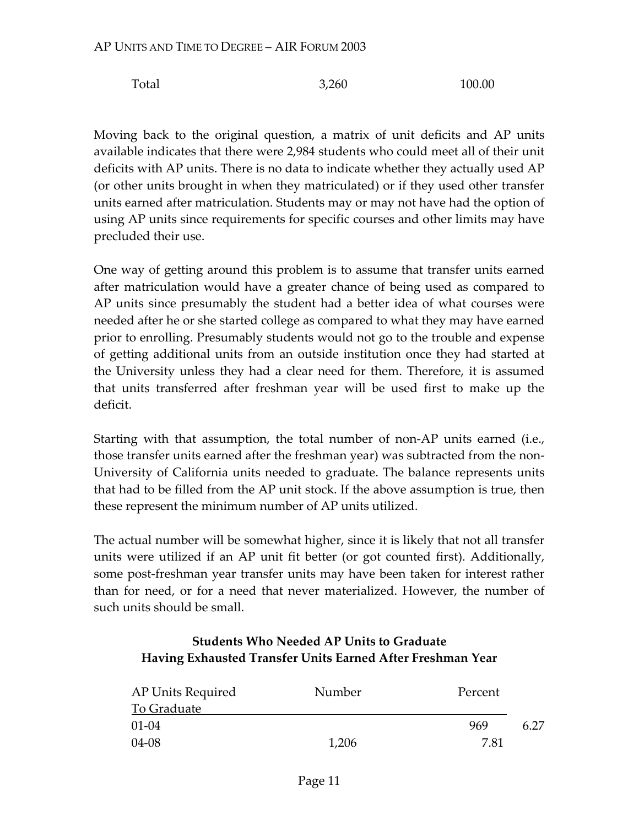Total 3,260 100.00

Moving back to the original question, a matrix of unit deficits and AP units available indicates that there were 2,984 students who could meet all of their unit deficits with AP units. There is no data to indicate whether they actually used AP (or other units brought in when they matriculated) or if they used other transfer units earned after matriculation. Students may or may not have had the option of using AP units since requirements for specific courses and other limits may have precluded their use.

One way of getting around this problem is to assume that transfer units earned after matriculation would have a greater chance of being used as compared to AP units since presumably the student had a better idea of what courses were needed after he or she started college as compared to what they may have earned prior to enrolling. Presumably students would not go to the trouble and expense of getting additional units from an outside institution once they had started at the University unless they had a clear need for them. Therefore, it is assumed that units transferred after freshman year will be used first to make up the deficit.

Starting with that assumption, the total number of non-AP units earned (i.e., those transfer units earned after the freshman year) was subtracted from the non-University of California units needed to graduate. The balance represents units that had to be filled from the AP unit stock. If the above assumption is true, then these represent the minimum number of AP units utilized.

The actual number will be somewhat higher, since it is likely that not all transfer units were utilized if an AP unit fit better (or got counted first). Additionally, some post-freshman year transfer units may have been taken for interest rather than for need, or for a need that never materialized. However, the number of such units should be small.

### **Students Who Needed AP Units to Graduate Having Exhausted Transfer Units Earned After Freshman Year**

| AP Units Required | Number | Percent |      |
|-------------------|--------|---------|------|
| To Graduate       |        |         |      |
| 01-04             |        | 969     | 6 27 |
| 04-08             | 1,206  | 7 81    |      |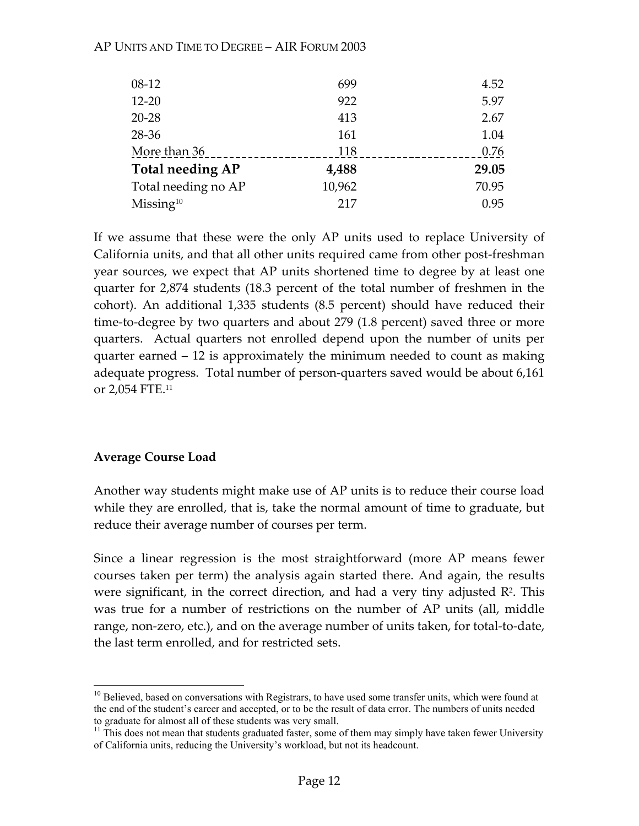| $08-12$                 | 699    | 4.52  |
|-------------------------|--------|-------|
| $12 - 20$               | 922    | 5.97  |
| $20 - 28$               | 413    | 2.67  |
| 28-36                   | 161    | 1.04  |
| More than 36            | 118    | 0.76  |
| <b>Total needing AP</b> | 4,488  | 29.05 |
| Total needing no AP     | 10,962 | 70.95 |
| Missing <sup>10</sup>   | 217    | 0.95  |

#### AP UNITS AND TIME TO DEGREE – AIR FORUM 2003

If we assume that these were the only AP units used to replace University of California units, and that all other units required came from other post-freshman year sources, we expect that AP units shortened time to degree by at least one quarter for 2,874 students (18.3 percent of the total number of freshmen in the cohort). An additional 1,335 students (8.5 percent) should have reduced their time-to-degree by two quarters and about 279 (1.8 percent) saved three or more quarters. Actual quarters not enrolled depend upon the number of units per quarter earned – 12 is approximately the minimum needed to count as making adequate progress. Total number of person-quarters saved would be about 6,161 or 2,054 FTE.11

#### **Average Course Load**

1

Another way students might make use of AP units is to reduce their course load while they are enrolled, that is, take the normal amount of time to graduate, but reduce their average number of courses per term.

Since a linear regression is the most straightforward (more AP means fewer courses taken per term) the analysis again started there. And again, the results were significant, in the correct direction, and had a very tiny adjusted  $\mathbb{R}^2$ . This was true for a number of restrictions on the number of AP units (all, middle range, non-zero, etc.), and on the average number of units taken, for total-to-date, the last term enrolled, and for restricted sets.

<sup>&</sup>lt;sup>10</sup> Believed, based on conversations with Registrars, to have used some transfer units, which were found at the end of the student's career and accepted, or to be the result of data error. The numbers of units needed to graduate for almost all of these students was very small.

 $11$  This does not mean that students graduated faster, some of them may simply have taken fewer University of California units, reducing the University's workload, but not its headcount.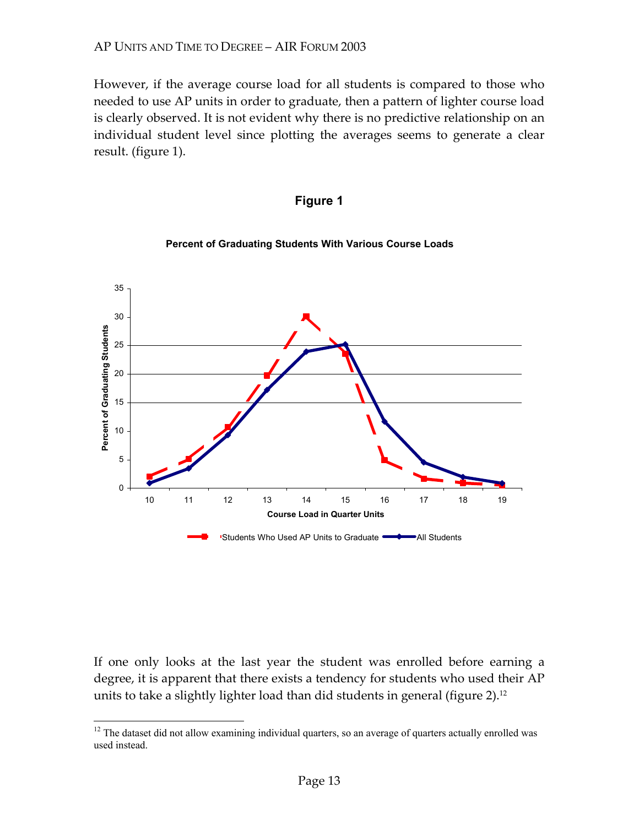However, if the average course load for all students is compared to those who needed to use AP units in order to graduate, then a pattern of lighter course load is clearly observed. It is not evident why there is no predictive relationship on an individual student level since plotting the averages seems to generate a clear result. (figure 1).





**Percent of Graduating Students With Various Course Loads** 

If one only looks at the last year the student was enrolled before earning a degree, it is apparent that there exists a tendency for students who used their AP units to take a slightly lighter load than did students in general (figure 2).<sup>12</sup>

1

 $12$  The dataset did not allow examining individual quarters, so an average of quarters actually enrolled was used instead.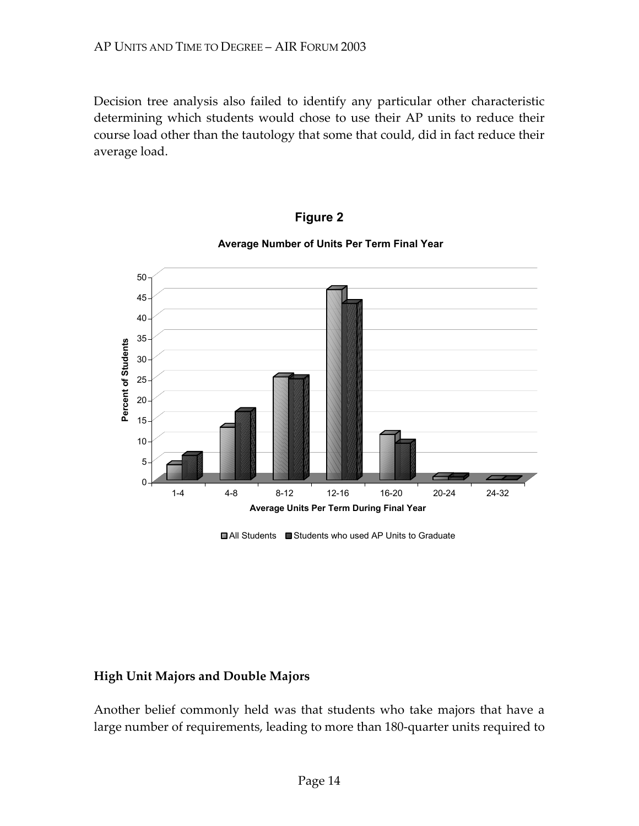Decision tree analysis also failed to identify any particular other characteristic determining which students would chose to use their AP units to reduce their course load other than the tautology that some that could, did in fact reduce their average load.



#### **Figure 2**

#### **Average Number of Units Per Term Final Year**

■ All Students ■ Students who used AP Units to Graduate

#### **High Unit Majors and Double Majors**

Another belief commonly held was that students who take majors that have a large number of requirements, leading to more than 180-quarter units required to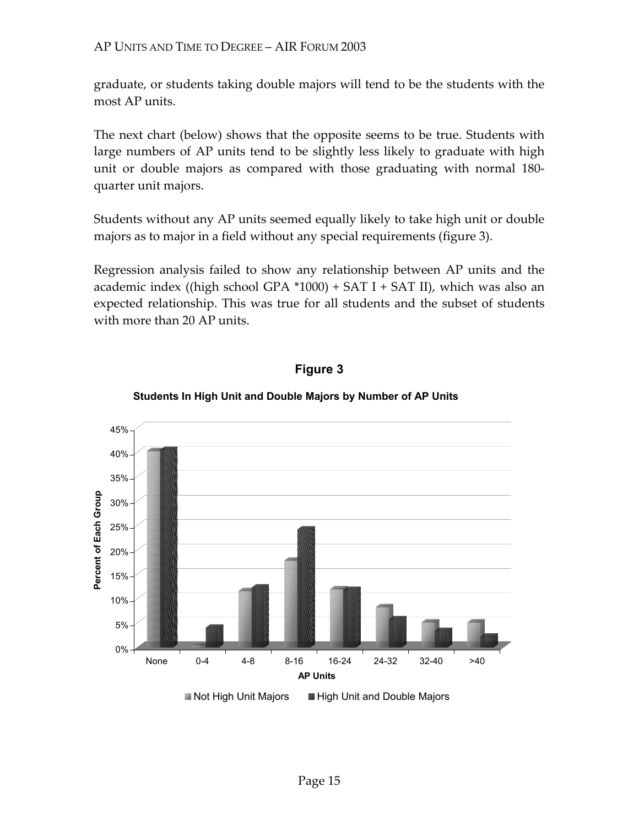graduate, or students taking double majors will tend to be the students with the most AP units.

The next chart (below) shows that the opposite seems to be true. Students with large numbers of AP units tend to be slightly less likely to graduate with high unit or double majors as compared with those graduating with normal 180 quarter unit majors.

Students without any AP units seemed equally likely to take high unit or double majors as to major in a field without any special requirements (figure 3).

Regression analysis failed to show any relationship between AP units and the academic index ((high school GPA  $*1000$ ) + SAT I + SAT II), which was also an expected relationship. This was true for all students and the subset of students with more than 20 AP units.



### **Figure 3**

#### **Students In High Unit and Double Majors by Number of AP Units**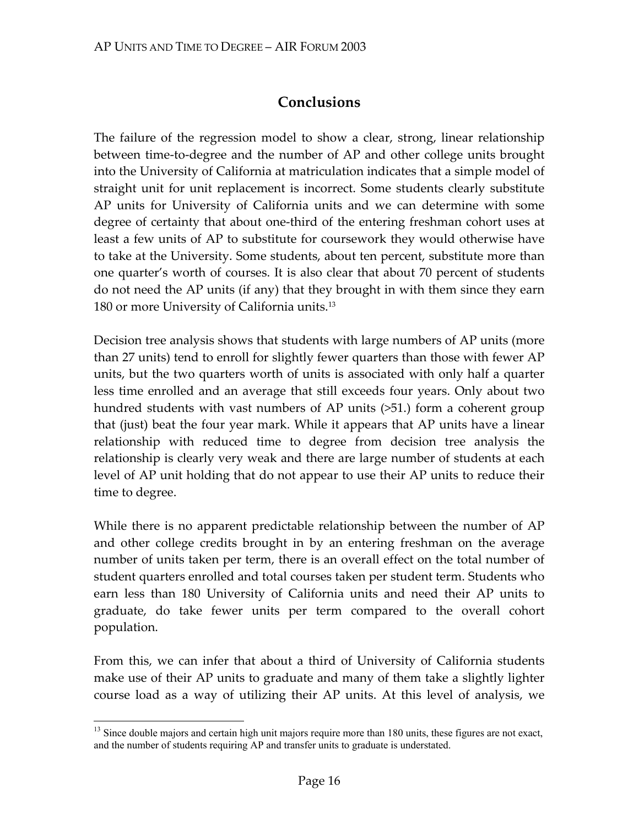# **Conclusions**

The failure of the regression model to show a clear, strong, linear relationship between time-to-degree and the number of AP and other college units brought into the University of California at matriculation indicates that a simple model of straight unit for unit replacement is incorrect. Some students clearly substitute AP units for University of California units and we can determine with some degree of certainty that about one-third of the entering freshman cohort uses at least a few units of AP to substitute for coursework they would otherwise have to take at the University. Some students, about ten percent, substitute more than one quarter's worth of courses. It is also clear that about 70 percent of students do not need the AP units (if any) that they brought in with them since they earn 180 or more University of California units.13

Decision tree analysis shows that students with large numbers of AP units (more than 27 units) tend to enroll for slightly fewer quarters than those with fewer AP units, but the two quarters worth of units is associated with only half a quarter less time enrolled and an average that still exceeds four years. Only about two hundred students with vast numbers of AP units (>51.) form a coherent group that (just) beat the four year mark. While it appears that AP units have a linear relationship with reduced time to degree from decision tree analysis the relationship is clearly very weak and there are large number of students at each level of AP unit holding that do not appear to use their AP units to reduce their time to degree.

While there is no apparent predictable relationship between the number of AP and other college credits brought in by an entering freshman on the average number of units taken per term, there is an overall effect on the total number of student quarters enrolled and total courses taken per student term. Students who earn less than 180 University of California units and need their AP units to graduate, do take fewer units per term compared to the overall cohort population.

From this, we can infer that about a third of University of California students make use of their AP units to graduate and many of them take a slightly lighter course load as a way of utilizing their AP units. At this level of analysis, we

 $\overline{a}$ 

<sup>&</sup>lt;sup>13</sup> Since double majors and certain high unit majors require more than 180 units, these figures are not exact, and the number of students requiring AP and transfer units to graduate is understated.